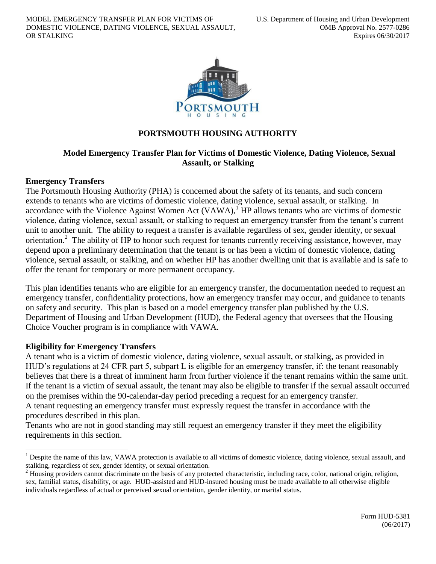

# **PORTSMOUTH HOUSING AUTHORITY**

## **Model Emergency Transfer Plan for Victims of Domestic Violence, Dating Violence, Sexual Assault, or Stalking**

#### **Emergency Transfers**

The Portsmouth Housing Authority (PHA) is concerned about the safety of its tenants, and such concern extends to tenants who are victims of domestic violence, dating violence, sexual assault, or stalking. In accordance with the Violence Against Women Act  $(VAWA)$ ,<sup>1</sup> HP allows tenants who are victims of domestic violence, dating violence, sexual assault, or stalking to request an emergency transfer from the tenant's current unit to another unit. The ability to request a transfer is available regardless of sex, gender identity, or sexual orientation.<sup>2</sup> The ability of HP to honor such request for tenants currently receiving assistance, however, may depend upon a preliminary determination that the tenant is or has been a victim of domestic violence, dating violence, sexual assault, or stalking, and on whether HP has another dwelling unit that is available and is safe to offer the tenant for temporary or more permanent occupancy.

This plan identifies tenants who are eligible for an emergency transfer, the documentation needed to request an emergency transfer, confidentiality protections, how an emergency transfer may occur, and guidance to tenants on safety and security. This plan is based on a model emergency transfer plan published by the U.S. Department of Housing and Urban Development (HUD), the Federal agency that oversees that the Housing Choice Voucher program is in compliance with VAWA.

#### **Eligibility for Emergency Transfers**

 $\overline{a}$ 

A tenant who is a victim of domestic violence, dating violence, sexual assault, or stalking, as provided in HUD's regulations at 24 CFR part 5, subpart L is eligible for an emergency transfer, if: the tenant reasonably believes that there is a threat of imminent harm from further violence if the tenant remains within the same unit. If the tenant is a victim of sexual assault, the tenant may also be eligible to transfer if the sexual assault occurred on the premises within the 90-calendar-day period preceding a request for an emergency transfer. A tenant requesting an emergency transfer must expressly request the transfer in accordance with the procedures described in this plan.

Tenants who are not in good standing may still request an emergency transfer if they meet the eligibility requirements in this section.

<sup>&</sup>lt;sup>1</sup> Despite the name of this law, VAWA protection is available to all victims of domestic violence, dating violence, sexual assault, and stalking, regardless of sex, gender identity, or sexual orientation.

 $2$  Housing providers cannot discriminate on the basis of any protected characteristic, including race, color, national origin, religion, sex, familial status, disability, or age. HUD-assisted and HUD-insured housing must be made available to all otherwise eligible individuals regardless of actual or perceived sexual orientation, gender identity, or marital status.